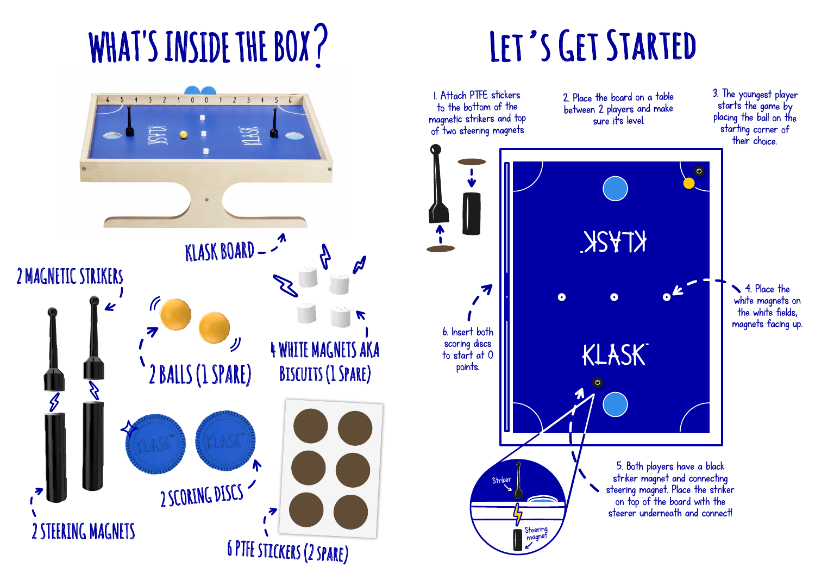## WHAT'S INSIDE THE BOX?



### **Let's Get Started**